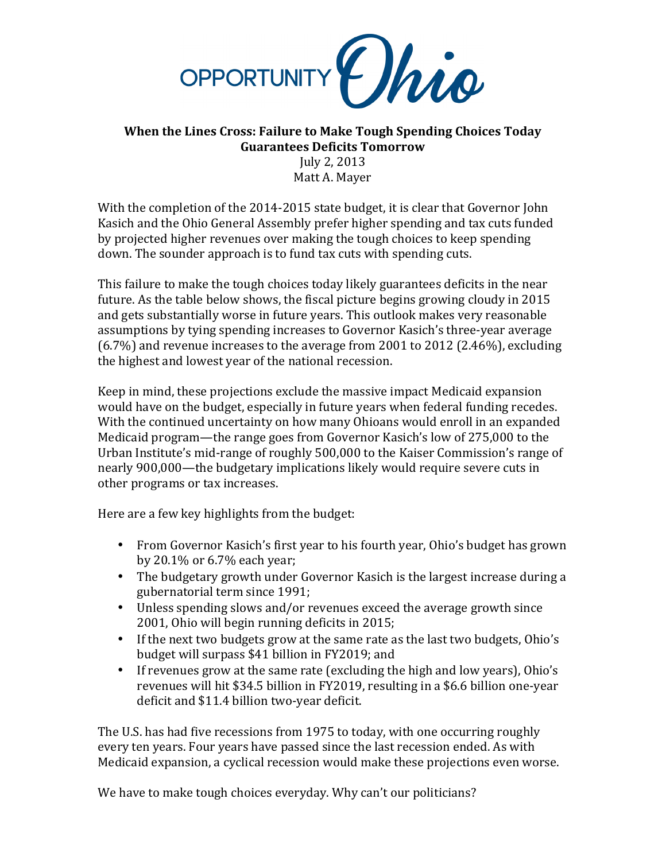

## **When the Lines Cross: Failure to Make Tough Spending Choices Today Guarantees Deficits Tomorrow**

July 2, 2013 Matt A. Mayer

With the completion of the 2014-2015 state budget, it is clear that Governor John Kasich and the Ohio General Assembly prefer higher spending and tax cuts funded by projected higher revenues over making the tough choices to keep spending down. The sounder approach is to fund tax cuts with spending cuts.

This failure to make the tough choices today likely guarantees deficits in the near future. As the table below shows, the fiscal picture begins growing cloudy in 2015 and gets substantially worse in future years. This outlook makes very reasonable assumptions by tying spending increases to Governor Kasich's three-year average  $(6.7%)$  and revenue increases to the average from 2001 to 2012 (2.46%), excluding the highest and lowest year of the national recession.

Keep in mind, these projections exclude the massive impact Medicaid expansion would have on the budget, especially in future years when federal funding recedes. With the continued uncertainty on how many Ohioans would enroll in an expanded Medicaid program—the range goes from Governor Kasich's low of 275,000 to the Urban Institute's mid-range of roughly 500,000 to the Kaiser Commission's range of nearly 900,000—the budgetary implications likely would require severe cuts in other programs or tax increases.

Here are a few key highlights from the budget:

- From Governor Kasich's first year to his fourth year, Ohio's budget has grown by  $20.1\%$  or  $6.7\%$  each year;
- The budgetary growth under Governor Kasich is the largest increase during a gubernatorial term since 1991;
- Unless spending slows and/or revenues exceed the average growth since 2001, Ohio will begin running deficits in 2015;
- If the next two budgets grow at the same rate as the last two budgets, Ohio's budget will surpass \$41 billion in FY2019; and
- If revenues grow at the same rate (excluding the high and low years), Ohio's revenues will hit \$34.5 billion in FY2019, resulting in a \$6.6 billion one-year deficit and \$11.4 billion two-year deficit.

The U.S. has had five recessions from 1975 to today, with one occurring roughly every ten years. Four years have passed since the last recession ended. As with Medicaid expansion, a cyclical recession would make these projections even worse.

We have to make tough choices everyday. Why can't our politicians?